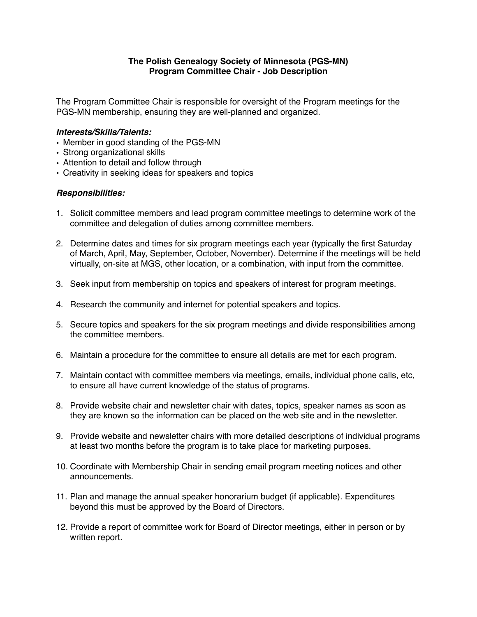## **The Polish Genealogy Society of Minnesota (PGS-MN) Program Committee Chair - Job Description**

The Program Committee Chair is responsible for oversight of the Program meetings for the PGS-MN membership, ensuring they are well-planned and organized.

## *Interests/Skills/Talents:*

- Member in good standing of the PGS-MN
- Strong organizational skills
- Attention to detail and follow through
- Creativity in seeking ideas for speakers and topics

## *Responsibilities:*

- 1. Solicit committee members and lead program committee meetings to determine work of the committee and delegation of duties among committee members.
- 2. Determine dates and times for six program meetings each year (typically the first Saturday of March, April, May, September, October, November). Determine if the meetings will be held virtually, on-site at MGS, other location, or a combination, with input from the committee.
- 3. Seek input from membership on topics and speakers of interest for program meetings.
- 4. Research the community and internet for potential speakers and topics.
- 5. Secure topics and speakers for the six program meetings and divide responsibilities among the committee members.
- 6. Maintain a procedure for the committee to ensure all details are met for each program.
- 7. Maintain contact with committee members via meetings, emails, individual phone calls, etc, to ensure all have current knowledge of the status of programs.
- 8. Provide website chair and newsletter chair with dates, topics, speaker names as soon as they are known so the information can be placed on the web site and in the newsletter.
- 9. Provide website and newsletter chairs with more detailed descriptions of individual programs at least two months before the program is to take place for marketing purposes.
- 10. Coordinate with Membership Chair in sending email program meeting notices and other announcements.
- 11. Plan and manage the annual speaker honorarium budget (if applicable). Expenditures beyond this must be approved by the Board of Directors.
- 12. Provide a report of committee work for Board of Director meetings, either in person or by written report.